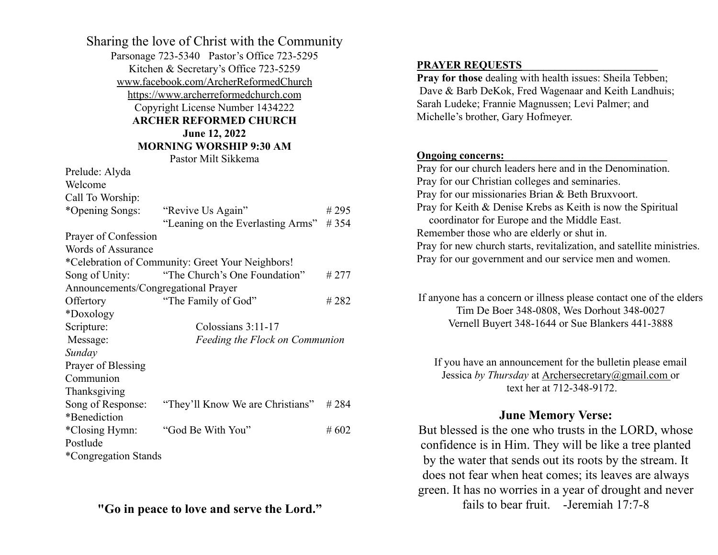| Sharing the love of Christ with the Community<br>Parsonage 723-5340 Pastor's Office 723-5295<br>Kitchen & Secretary's Office 723-5259<br>www.facebook.com/ArcherReformedChurch<br>https://www.archerreformedchurch.com<br>Copyright License Number 1434222<br><b>ARCHER REFORMED CHURCH</b><br>June 12, 2022 |                                                  |      |  |
|--------------------------------------------------------------------------------------------------------------------------------------------------------------------------------------------------------------------------------------------------------------------------------------------------------------|--------------------------------------------------|------|--|
| <b>MORNING WORSHIP 9:30 AM</b>                                                                                                                                                                                                                                                                               |                                                  |      |  |
|                                                                                                                                                                                                                                                                                                              | Pastor Milt Sikkema                              |      |  |
| Prelude: Alyda<br>Welcome                                                                                                                                                                                                                                                                                    |                                                  |      |  |
|                                                                                                                                                                                                                                                                                                              |                                                  |      |  |
| Call To Worship:<br>*Opening Songs:                                                                                                                                                                                                                                                                          | "Revive Us Again"                                | #295 |  |
|                                                                                                                                                                                                                                                                                                              | "Leaning on the Everlasting Arms"                | #354 |  |
| Prayer of Confession                                                                                                                                                                                                                                                                                         |                                                  |      |  |
| <b>Words of Assurance</b>                                                                                                                                                                                                                                                                                    |                                                  |      |  |
|                                                                                                                                                                                                                                                                                                              | *Celebration of Community: Greet Your Neighbors! |      |  |
| Song of Unity:                                                                                                                                                                                                                                                                                               | "The Church's One Foundation"                    | #277 |  |
| Announcements/Congregational Prayer                                                                                                                                                                                                                                                                          |                                                  |      |  |
| Offertory                                                                                                                                                                                                                                                                                                    | "The Family of God"                              | #282 |  |
| *Doxology                                                                                                                                                                                                                                                                                                    |                                                  |      |  |
| Scripture:                                                                                                                                                                                                                                                                                                   | Colossians 3:11-17                               |      |  |
| Message:                                                                                                                                                                                                                                                                                                     | Feeding the Flock on Communion                   |      |  |
| Sunday                                                                                                                                                                                                                                                                                                       |                                                  |      |  |
| Prayer of Blessing                                                                                                                                                                                                                                                                                           |                                                  |      |  |
| Communion                                                                                                                                                                                                                                                                                                    |                                                  |      |  |
| Thanksgiving                                                                                                                                                                                                                                                                                                 |                                                  |      |  |
| Song of Response:                                                                                                                                                                                                                                                                                            | "They'll Know We are Christians"                 | #284 |  |
| *Benediction                                                                                                                                                                                                                                                                                                 |                                                  |      |  |
| *Closing Hymn:                                                                                                                                                                                                                                                                                               | "God Be With You"                                | #602 |  |
| Postlude                                                                                                                                                                                                                                                                                                     |                                                  |      |  |
| *Congregation Stands                                                                                                                                                                                                                                                                                         |                                                  |      |  |

# **"Go in peace to love and serve the Lord."**

### PRAYER REQUESTS

**Pray for those** dealing with health issues: Sheila Tebben; Dave & Barb DeKok, Fred Wagenaar and Keith Landhuis; Sarah Ludeke; Frannie Magnussen; Levi Palmer; and Michelle's brother, Gary Hofmeyer.

### **Ongoing concerns:**

Pray for our church leaders here and in the Denomination. Pray for our Christian colleges and seminaries. Pray for our missionaries Brian & Beth Bruxvoort. Pray for Keith & Denise Krebs as Keith is now the Spiritual coordinator for Europe and the Middle East. Remember those who are elderly or shut in. Pray for new church starts, revitalization, and satellite ministries. Pray for our government and our service men and women.

If anyone has a concern or illness please contact one of the elders Tim De Boer 348-0808, Wes Dorhout 348-0027 Vernell Buyert 348-1644 or Sue Blankers 441-3888

If you have an announcement for the bulletin please email Jessica *by Thursday* at [Archersecretary@gmail.com](mailto:Archersecretary@gmail.com) or text her at 712-348-9172.

# **June Memory Verse:**

But blessed is the one who trusts in the LORD, whose confidence is in Him. They will be like a tree planted by the water that sends out its roots by the stream. It does not fear when heat comes; its leaves are always green. It has no worries in a year of drought and never fails to bear fruit. -Jeremiah 17:7-8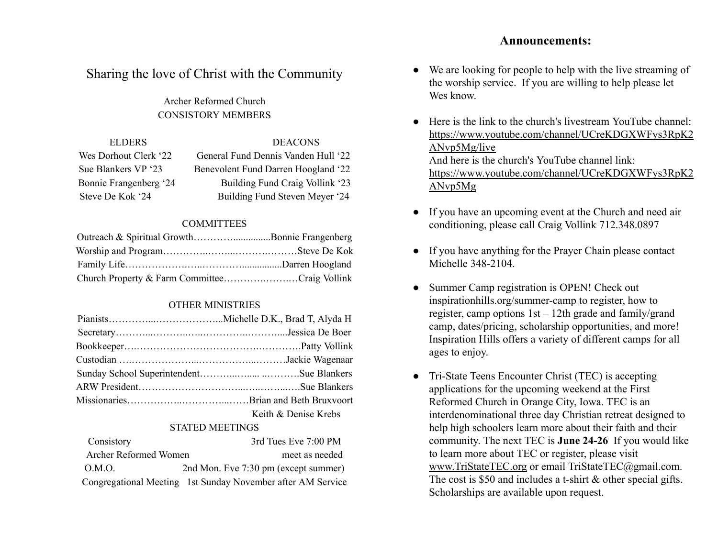### **Announcements:**

# Sharing the love of Christ with the Community

Archer Reformed Church CONSISTORY MEMBERS

| <b>DEACONS</b>                      |
|-------------------------------------|
| General Fund Dennis Vanden Hull '22 |
| Benevolent Fund Darren Hoogland '22 |
| Building Fund Craig Vollink '23     |
| Building Fund Steven Meyer '24      |
|                                     |

#### **COMMITTEES**

| Outreach & Spiritual GrowthBonnie Frangenberg |  |
|-----------------------------------------------|--|
|                                               |  |
|                                               |  |
| Church Property & Farm CommitteeCraig Vollink |  |

#### OTHER MINISTRIES

| Keith & Denise Krebs |
|----------------------|

#### STATED MEETINGS

| Consistory            | 3rd Tues Eve 7:00 PM                                        |
|-----------------------|-------------------------------------------------------------|
| Archer Reformed Women | meet as needed                                              |
| O.M.O.                | 2nd Mon. Eve 7:30 pm (except summer)                        |
|                       | Congregational Meeting 1st Sunday November after AM Service |

- We are looking for people to help with the live streaming of the worship service. If you are willing to help please let Wes know.
- Here is the link to the church's livestream YouTube channel: [https://www.youtube.com/channel/UCreKDGXWFys3RpK2](https://www.youtube.com/channel/UCreKDGXWFys3RpK2ANvp5Mg/live?fbclid=IwAR2T5nPeTmO3-J2ezH2UuC-dKpiDHSCE20UnRkBB9E74awVB78GDVWog1XE) [ANvp5Mg/live](https://www.youtube.com/channel/UCreKDGXWFys3RpK2ANvp5Mg/live?fbclid=IwAR2T5nPeTmO3-J2ezH2UuC-dKpiDHSCE20UnRkBB9E74awVB78GDVWog1XE) And here is the church's YouTube channel link: [https://www.youtube.com/channel/UCreKDGXWFys3RpK2](https://www.youtube.com/channel/UCreKDGXWFys3RpK2ANvp5Mg/live?fbclid=IwAR0HL2QFtJ91ZYY4oTW9wAIgsckjIkh_ViZ5NYP6MrjFlRddP0A4vY0spe0) [ANvp5Mg](https://www.youtube.com/channel/UCreKDGXWFys3RpK2ANvp5Mg/live?fbclid=IwAR0HL2QFtJ91ZYY4oTW9wAIgsckjIkh_ViZ5NYP6MrjFlRddP0A4vY0spe0)
- If you have an upcoming event at the Church and need air conditioning, please call Craig Vollink 712.348.0897
- If you have anything for the Prayer Chain please contact Michelle 348-2104.
- Summer Camp registration is OPEN! Check out [inspirationhills.org/summer-camp](https://www.inspirationhills.org/summer-camp/) to register, how to register, camp options 1st – 12th grade and family/grand camp, dates/pricing, scholarship opportunities, and more! Inspiration Hills offers a variety of different camps for all ages to enjoy.
- Tri-State Teens Encounter Christ (TEC) is accepting applications for the upcoming weekend at the First Reformed Church in Orange City, Iowa. TEC is an interdenominational three day Christian retreat designed to help high schoolers learn more about their faith and their community. The next TEC is **June 24-26** If you would like to learn more about TEC or register, please visit [www.TriStateTEC.org](http://www.tristatetec.org/) or email TriStateTEC@gmail.com. The cost is \$50 and includes a t-shirt & other special gifts. Scholarships are available upon request.